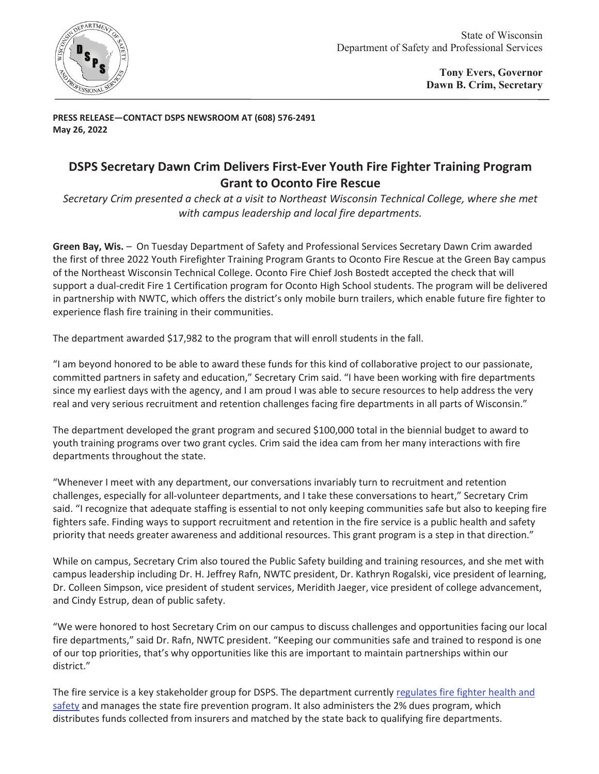

**PRESS RELEASE—CONTACT DSPS NEWSROOM AT (608) 576-2491 May 26, 2022** 

## **DSPS Secretary Dawn Crim Delivers First-Ever Youth Fire Fighter Training Program Grant to Oconto Fire Rescue**

*Secretary Crim presented a check at a visit to Northeast Wisconsin Technical College, where she met with campus leadership and local fire departments.* 

**Green Bay, Wis.** – On Tuesday Department of Safety and Professional Services Secretary Dawn Crim awarded the first of three 2022 Youth Firefighter Training Program Grants to Oconto Fire Rescue at the Green Bay campus of the Northeast Wisconsin Technical College. Oconto Fire Chief Josh Bostedt accepted the check that will support a dual-credit Fire 1 Certification program for Oconto High School students. The program will be delivered in partnership with NWTC, which offers the district's only mobile burn trailers, which enable future fire fighter to experience flash fire training in their communities.

The department awarded \$17,982 to the program that will enroll students in the fall.

"I am beyond honored to be able to award these funds for this kind of collaborative project to our passionate, committed partners in safety and education," Secretary Crim said. "I have been working with fire departments since my earliest days with the agency, and I am proud I was able to secure resources to help address the very real and very serious recruitment and retention challenges facing fire departments in all parts of Wisconsin."

The department developed the grant program and secured \$100,000 total in the biennial budget to award to youth training programs over two grant cycles. Crim said the idea cam from her many interactions with fire departments throughout the state.

"Whenever I meet with any department, our conversations invariably turn to recruitment and retention challenges, especially for all-volunteer departments, and I take these conversations to heart," Secretary Crim said. "I recognize that adequate staffing is essential to not only keeping communities safe but also to keeping fire fighters safe. Finding ways to support recruitment and retention in the fire service is a public health and safety priority that needs greater awareness and additional resources. This grant program is a step in that direction."

While on campus, Secretary Crim also toured the Public Safety building and training resources, and she met with campus leadership including Dr. H. Jeffrey Rafn, NWTC president, Dr. Kathryn Rogalski, vice president of learning, Dr. Colleen Simpson, vice president of student services, Meridith Jaeger, vice president of college advancement, and Cindy Estrup, dean of public safety.

"We were honored to host Secretary Crim on our campus to discuss challenges and opportunities facing our local fire departments," said Dr. Rafn, NWTC president. "Keeping our communities safe and trained to respond is one of our top priorities, that's why opportunities like this are important to maintain partnerships within our district."

The fire service is a key stakeholder group for DSPS. The department currently regulates fire fighter health and safety and manages the state fire prevention program. It also administers the 2% dues program, which distributes funds collected from insurers and matched by the state back to qualifying fire departments.